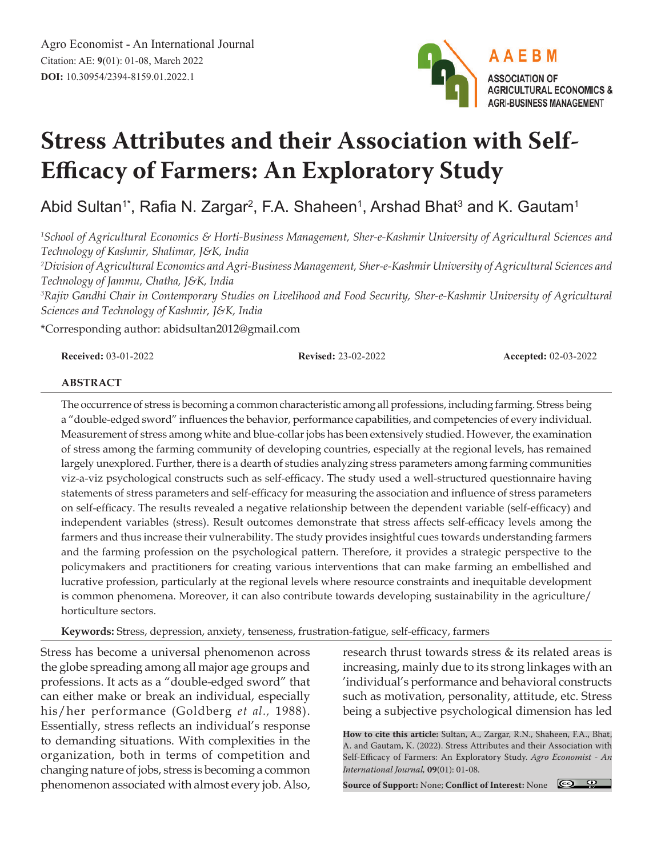

# **Stress Attributes and their Association with Self-Efficacy of Farmers: An Exploratory Study**

Abid Sultan1\*, Rafia N. Zargar<sup>2</sup>, F.A. Shaheen<sup>1</sup>, Arshad Bhat<sup>3</sup> and K. Gautam<sup>1</sup>

*1 School of Agricultural Economics & Horti-Business Management, Sher-e-Kashmir University of Agricultural Sciences and Technology of Kashmir, Shalimar, J&K, India*

*2 Division of Agricultural Economics and Agri-Business Management, Sher-e-Kashmir University of Agricultural Sciences and Technology of Jammu, Chatha, J&K, India*

<sup>3</sup> Rajiv Gandhi Chair in Contemporary Studies on Livelihood and Food Security, Sher-e-Kashmir University of Agricultural *Sciences and Technology of Kashmir, J&K, India*

\*Corresponding author: abidsultan2012@gmail.com

**Received:** 03-01-2022 **Revised:** 23-02-2022 **Accepted:** 02-03-2022

#### **ABSTRACT**

The occurrence of stress is becoming a common characteristic among all professions, including farming. Stress being a "double-edged sword" influences the behavior, performance capabilities, and competencies of every individual. Measurement of stress among white and blue-collar jobs has been extensively studied. However, the examination of stress among the farming community of developing countries, especially at the regional levels, has remained largely unexplored. Further, there is a dearth of studies analyzing stress parameters among farming communities viz-a-viz psychological constructs such as self-efficacy. The study used a well-structured questionnaire having statements of stress parameters and self-efficacy for measuring the association and influence of stress parameters on self-efficacy. The results revealed a negative relationship between the dependent variable (self-efficacy) and independent variables (stress). Result outcomes demonstrate that stress affects self-efficacy levels among the farmers and thus increase their vulnerability. The study provides insightful cues towards understanding farmers and the farming profession on the psychological pattern. Therefore, it provides a strategic perspective to the policymakers and practitioners for creating various interventions that can make farming an embellished and lucrative profession, particularly at the regional levels where resource constraints and inequitable development is common phenomena. Moreover, it can also contribute towards developing sustainability in the agriculture/ horticulture sectors.

**Keywords:** Stress, depression, anxiety, tenseness, frustration-fatigue, self-efficacy, farmers

Stress has become a universal phenomenon across the globe spreading among all major age groups and professions. It acts as a "double-edged sword" that can either make or break an individual, especially his/her performance (Goldberg *et al.,* 1988). Essentially, stress reflects an individual's response to demanding situations. With complexities in the organization, both in terms of competition and changing nature of jobs, stress is becoming a common phenomenon associated with almost every job. Also,

research thrust towards stress & its related areas is increasing, mainly due to its strong linkages with an 'individual's performance and behavioral constructs such as motivation, personality, attitude, etc. Stress being a subjective psychological dimension has led

**How to cite this article:** Sultan, A., Zargar, R.N., Shaheen, F.A., Bhat, A. and Gautam, K. (2022). Stress Attributes and their Association with Self-Efficacy of Farmers: An Exploratory Study. *Agro Economist - An International Journal,* **09**(01): 01-08.

 $\bigcirc$   $\bigcirc$ **Source of Support:** None; **Conflict of Interest:** None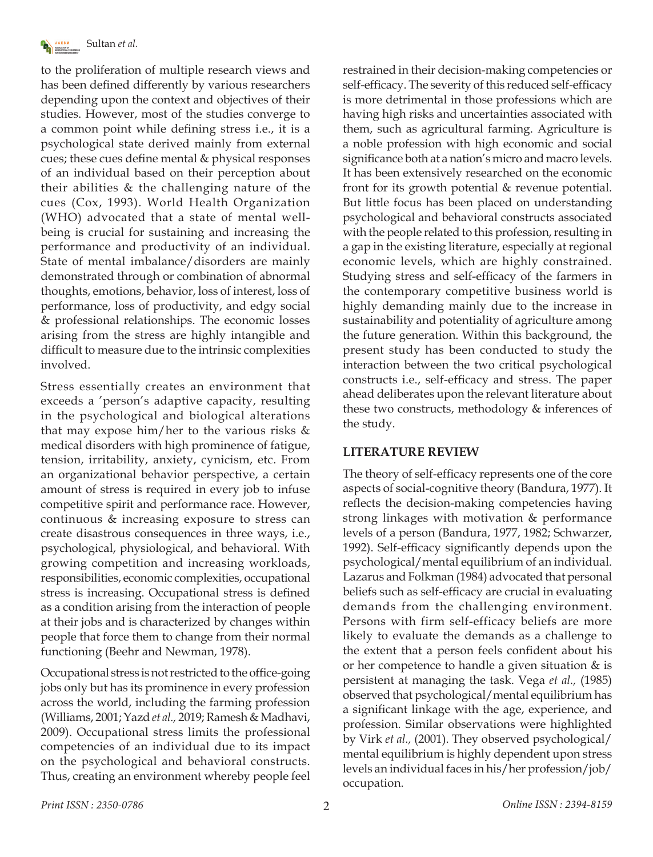

to the proliferation of multiple research views and has been defined differently by various researchers depending upon the context and objectives of their studies. However, most of the studies converge to a common point while defining stress i.e., it is a psychological state derived mainly from external cues; these cues define mental & physical responses of an individual based on their perception about their abilities & the challenging nature of the cues (Cox, 1993). World Health Organization (WHO) advocated that a state of mental wellbeing is crucial for sustaining and increasing the performance and productivity of an individual. State of mental imbalance/disorders are mainly demonstrated through or combination of abnormal thoughts, emotions, behavior, loss of interest, loss of performance, loss of productivity, and edgy social & professional relationships. The economic losses arising from the stress are highly intangible and difficult to measure due to the intrinsic complexities involved.

Stress essentially creates an environment that exceeds a 'person's adaptive capacity, resulting in the psychological and biological alterations that may expose him/her to the various risks & medical disorders with high prominence of fatigue, tension, irritability, anxiety, cynicism, etc. From an organizational behavior perspective, a certain amount of stress is required in every job to infuse competitive spirit and performance race. However, continuous & increasing exposure to stress can create disastrous consequences in three ways, i.e., psychological, physiological, and behavioral. With growing competition and increasing workloads, responsibilities, economic complexities, occupational stress is increasing. Occupational stress is defined as a condition arising from the interaction of people at their jobs and is characterized by changes within people that force them to change from their normal functioning (Beehr and Newman, 1978).

Occupational stress is not restricted to the office-going jobs only but has its prominence in every profession across the world, including the farming profession (Williams, 2001; Yazd *et al.,* 2019; Ramesh & Madhavi, 2009). Occupational stress limits the professional competencies of an individual due to its impact on the psychological and behavioral constructs. Thus, creating an environment whereby people feel restrained in their decision-making competencies or self-efficacy. The severity of this reduced self-efficacy is more detrimental in those professions which are having high risks and uncertainties associated with them, such as agricultural farming. Agriculture is a noble profession with high economic and social significance both at a nation's micro and macro levels. It has been extensively researched on the economic front for its growth potential & revenue potential. But little focus has been placed on understanding psychological and behavioral constructs associated with the people related to this profession, resulting in a gap in the existing literature, especially at regional economic levels, which are highly constrained. Studying stress and self-efficacy of the farmers in the contemporary competitive business world is highly demanding mainly due to the increase in sustainability and potentiality of agriculture among the future generation. Within this background, the present study has been conducted to study the interaction between the two critical psychological constructs i.e., self-efficacy and stress. The paper ahead deliberates upon the relevant literature about these two constructs, methodology & inferences of the study.

### **LITERATURE REVIEW**

The theory of self-efficacy represents one of the core aspects of social-cognitive theory (Bandura, 1977). It reflects the decision-making competencies having strong linkages with motivation & performance levels of a person (Bandura, 1977, 1982; Schwarzer, 1992). Self-efficacy significantly depends upon the psychological/mental equilibrium of an individual. Lazarus and Folkman (1984) advocated that personal beliefs such as self-efficacy are crucial in evaluating demands from the challenging environment. Persons with firm self-efficacy beliefs are more likely to evaluate the demands as a challenge to the extent that a person feels confident about his or her competence to handle a given situation & is persistent at managing the task. Vega *et al.,* (1985) observed that psychological/mental equilibrium has a significant linkage with the age, experience, and profession. Similar observations were highlighted by Virk *et al.,* (2001). They observed psychological/ mental equilibrium is highly dependent upon stress levels an individual faces in his/her profession/job/ occupation.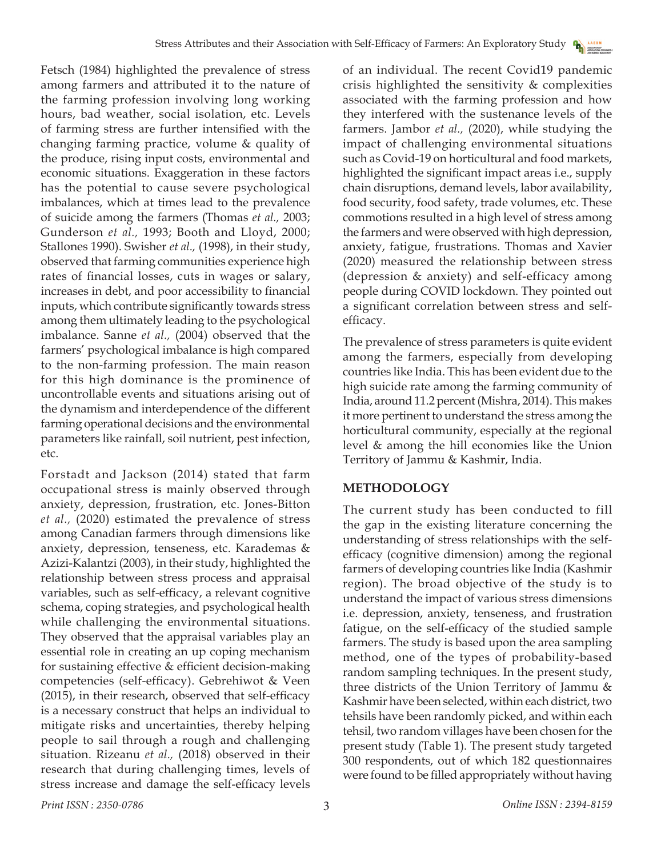Fetsch (1984) highlighted the prevalence of stress among farmers and attributed it to the nature of the farming profession involving long working hours, bad weather, social isolation, etc. Levels of farming stress are further intensified with the changing farming practice, volume & quality of the produce, rising input costs, environmental and economic situations. Exaggeration in these factors has the potential to cause severe psychological imbalances, which at times lead to the prevalence of suicide among the farmers (Thomas *et al.,* 2003; Gunderson *et al.,* 1993; Booth and Lloyd, 2000; Stallones 1990). Swisher *et al.,* (1998), in their study, observed that farming communities experience high rates of financial losses, cuts in wages or salary, increases in debt, and poor accessibility to financial inputs, which contribute significantly towards stress among them ultimately leading to the psychological imbalance. Sanne *et al.,* (2004) observed that the farmers' psychological imbalance is high compared to the non-farming profession. The main reason for this high dominance is the prominence of uncontrollable events and situations arising out of the dynamism and interdependence of the different farming operational decisions and the environmental parameters like rainfall, soil nutrient, pest infection, etc.

Forstadt and Jackson (2014) stated that farm occupational stress is mainly observed through anxiety, depression, frustration, etc. Jones-Bitton *et al.,* (2020) estimated the prevalence of stress among Canadian farmers through dimensions like anxiety, depression, tenseness, etc. Karademas & Azizi-Kalantzi (2003), in their study, highlighted the relationship between stress process and appraisal variables, such as self-efficacy, a relevant cognitive schema, coping strategies, and psychological health while challenging the environmental situations. They observed that the appraisal variables play an essential role in creating an up coping mechanism for sustaining effective & efficient decision-making competencies (self-efficacy). Gebrehiwot & Veen (2015), in their research, observed that self-efficacy is a necessary construct that helps an individual to mitigate risks and uncertainties, thereby helping people to sail through a rough and challenging situation. Rizeanu *et al.,* (2018) observed in their research that during challenging times, levels of stress increase and damage the self-efficacy levels

of an individual. The recent Covid19 pandemic crisis highlighted the sensitivity & complexities associated with the farming profession and how they interfered with the sustenance levels of the farmers. Jambor *et al.,* (2020), while studying the impact of challenging environmental situations such as Covid-19 on horticultural and food markets, highlighted the significant impact areas i.e., supply chain disruptions, demand levels, labor availability, food security, food safety, trade volumes, etc. These commotions resulted in a high level of stress among the farmers and were observed with high depression, anxiety, fatigue, frustrations. Thomas and Xavier (2020) measured the relationship between stress (depression & anxiety) and self-efficacy among people during COVID lockdown. They pointed out a significant correlation between stress and selfefficacy.

The prevalence of stress parameters is quite evident among the farmers, especially from developing countries like India. This has been evident due to the high suicide rate among the farming community of India, around 11.2 percent (Mishra, 2014). This makes it more pertinent to understand the stress among the horticultural community, especially at the regional level & among the hill economies like the Union Territory of Jammu & Kashmir, India.

## **METHODOLOGY**

The current study has been conducted to fill the gap in the existing literature concerning the understanding of stress relationships with the selfefficacy (cognitive dimension) among the regional farmers of developing countries like India (Kashmir region). The broad objective of the study is to understand the impact of various stress dimensions i.e. depression, anxiety, tenseness, and frustration fatigue, on the self-efficacy of the studied sample farmers. The study is based upon the area sampling method, one of the types of probability-based random sampling techniques. In the present study, three districts of the Union Territory of Jammu & Kashmir have been selected, within each district, two tehsils have been randomly picked, and within each tehsil, two random villages have been chosen for the present study (Table 1). The present study targeted 300 respondents, out of which 182 questionnaires were found to be filled appropriately without having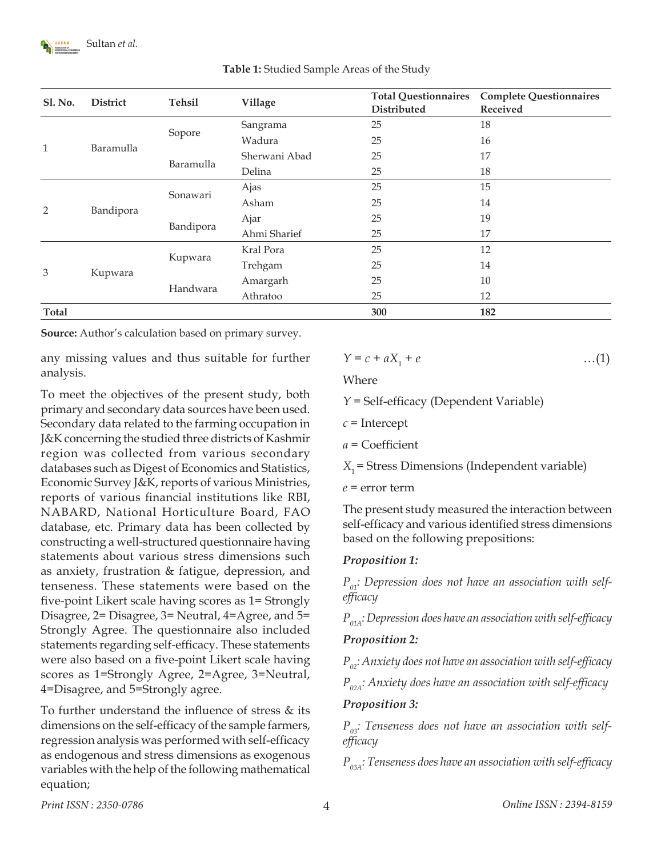

| <b>Sl. No.</b> | District  | <b>Tehsil</b> | Village       | <b>Total Questionnaires</b><br>Distributed | <b>Complete Questionnaires</b><br>Received |
|----------------|-----------|---------------|---------------|--------------------------------------------|--------------------------------------------|
| $\mathbf{1}$   | Baramulla | Sopore        | Sangrama      | 25                                         | 18                                         |
|                |           |               | Wadura        | 25                                         | 16                                         |
|                |           | Baramulla     | Sherwani Abad | 25                                         | 17                                         |
|                |           |               | Delina        | 25                                         | 18                                         |
| 2              | Bandipora | Sonawari      | Ajas          | 25                                         | 15                                         |
|                |           |               | Asham         | 25                                         | 14                                         |
|                |           | Bandipora     | Ajar          | 25                                         | 19                                         |
|                |           |               | Ahmi Sharief  | 25                                         | 17                                         |
| 3              | Kupwara   | Kupwara       | Kral Pora     | 25                                         | 12                                         |
|                |           |               | Trehgam       | 25                                         | 14                                         |
|                |           | Handwara      | Amargarh      | 25                                         | 10                                         |
|                |           |               | Athratoo      | 25                                         | 12                                         |
| <b>Total</b>   |           |               |               | 300                                        | 182                                        |

**Table 1:** Studied Sample Areas of the Study

**Source:** Author's calculation based on primary survey.

any missing values and thus suitable for further analysis.

To meet the objectives of the present study, both primary and secondary data sources have been used. Secondary data related to the farming occupation in J&K concerning the studied three districts of Kashmir region was collected from various secondary databases such as Digest of Economics and Statistics, Economic Survey J&K, reports of various Ministries, reports of various financial institutions like RBI, NABARD, National Horticulture Board, FAO database, etc. Primary data has been collected by constructing a well-structured questionnaire having statements about various stress dimensions such as anxiety, frustration & fatigue, depression, and tenseness. These statements were based on the five-point Likert scale having scores as 1= Strongly Disagree, 2= Disagree, 3= Neutral, 4=Agree, and 5= Strongly Agree. The questionnaire also included statements regarding self-efficacy. These statements were also based on a five-point Likert scale having scores as 1=Strongly Agree, 2=Agree, 3=Neutral, 4=Disagree, and 5=Strongly agree.

To further understand the influence of stress & its dimensions on the self-efficacy of the sample farmers, regression analysis was performed with self-efficacy as endogenous and stress dimensions as exogenous variables with the help of the following mathematical equation;

$$
Y = c + aX_1 + e \tag{1}
$$

Where

*Y* = Self-efficacy (Dependent Variable)

- *c* = Intercept
- *a* = Coefficient

 $X_1$  = Stress Dimensions (Independent variable)

*e* = error term

The present study measured the interaction between self-efficacy and various identified stress dimensions based on the following prepositions:

### *Proposition 1:*

P<sub>01</sub>: Depression does not have an association with self*efficacy*

*P01A: Depression does have an association with self-efficacy*

### *Proposition 2:*

*P02: Anxiety does not have an association with self-efficacy*

*P02A: Anxiety does have an association with self-efficacy*

#### *Proposition 3:*

 $P_{03}$ : Tenseness does not have an association with self*efficacy*

*P03A: Tenseness does have an association with self-efficacy*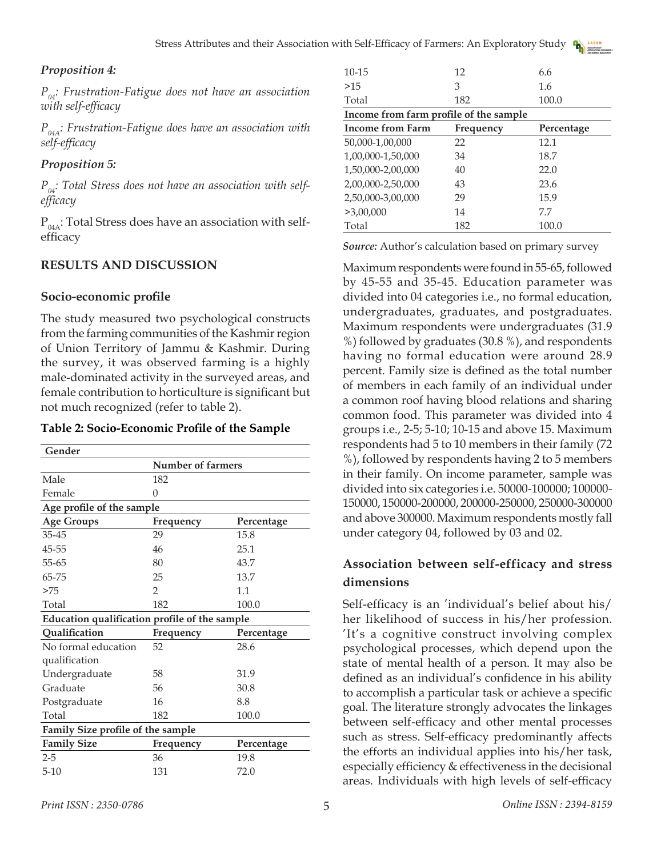#### *Proposition 4:*

 $P_{0,i}$ : Frustration-Fatigue does not have an association *with self-efficacy*

*P04A: Frustration-Fatigue does have an association with self-efficacy*

## *Proposition 5:*

 $P_{\alpha}$ : Total Stress does not have an association with self*efficacy*

 $P_{04A}$ : Total Stress does have an association with selfefficacy

## **RESULTS AND DISCUSSION**

#### **Socio-economic profile**

The study measured two psychological constructs from the farming communities of the Kashmir region of Union Territory of Jammu & Kashmir. During the survey, it was observed farming is a highly male-dominated activity in the surveyed areas, and female contribution to horticulture is significant but not much recognized (refer to table 2).

#### **Table 2: Socio-Economic Profile of the Sample**

| Gender                                        |                   |            |  |  |  |  |
|-----------------------------------------------|-------------------|------------|--|--|--|--|
|                                               | Number of farmers |            |  |  |  |  |
| Male                                          | 182               |            |  |  |  |  |
| Female                                        | 0                 |            |  |  |  |  |
| Age profile of the sample                     |                   |            |  |  |  |  |
| <b>Age Groups</b>                             | Frequency         | Percentage |  |  |  |  |
| 35-45                                         | 29                | 15.8       |  |  |  |  |
| 45-55                                         | 46                | 25.1       |  |  |  |  |
| 55-65                                         | 80                | 43.7       |  |  |  |  |
| 65-75                                         | 25                | 13.7       |  |  |  |  |
| >75                                           | $\mathcal{P}$     | 1.1        |  |  |  |  |
| Total                                         | 182               | 100.0      |  |  |  |  |
| Education qualification profile of the sample |                   |            |  |  |  |  |
| Qualification                                 | Frequency         | Percentage |  |  |  |  |
| No formal education                           | 52                | 28.6       |  |  |  |  |
| qualification                                 |                   |            |  |  |  |  |
| Undergraduate                                 | 58                | 31.9       |  |  |  |  |
| Graduate                                      | 56                | 30.8       |  |  |  |  |
| Postgraduate                                  | 16                | 8.8        |  |  |  |  |
| Total                                         | 182               | 100.0      |  |  |  |  |
| Family Size profile of the sample             |                   |            |  |  |  |  |
| <b>Family Size</b>                            | Frequency         | Percentage |  |  |  |  |
| $2 - 5$                                       | 36                | 19.8       |  |  |  |  |
| $5 - 10$                                      | 131               | 72.0       |  |  |  |  |
|                                               |                   |            |  |  |  |  |

| $10 - 15$                              | 12        | 6.6        |  |  |  |  |
|----------------------------------------|-----------|------------|--|--|--|--|
| >15                                    | 3         | 1.6        |  |  |  |  |
| Total                                  | 182       | 100.0      |  |  |  |  |
| Income from farm profile of the sample |           |            |  |  |  |  |
| <b>Income from Farm</b>                | Frequency | Percentage |  |  |  |  |
| 50,000-1,00,000                        | 22        | 12.1       |  |  |  |  |
| 1,00,000-1,50,000                      | 34        | 18.7       |  |  |  |  |
| 1,50,000-2,00,000                      | 40        | 22.0       |  |  |  |  |
| 2,00,000-2,50,000                      | 43        | 23.6       |  |  |  |  |
| 2,50,000-3,00,000                      | 29        | 15.9       |  |  |  |  |
| >3,00,000                              | 14        | 7.7        |  |  |  |  |
| Total                                  | 182       | 100.0      |  |  |  |  |

*Source:* Author's calculation based on primary survey

Maximum respondents were found in 55-65, followed by 45-55 and 35-45. Education parameter was divided into 04 categories i.e., no formal education, undergraduates, graduates, and postgraduates. Maximum respondents were undergraduates (31.9 %) followed by graduates (30.8 %), and respondents having no formal education were around 28.9 percent. Family size is defined as the total number of members in each family of an individual under a common roof having blood relations and sharing common food. This parameter was divided into 4 groups i.e., 2-5; 5-10; 10-15 and above 15. Maximum respondents had 5 to 10 members in their family (72 %), followed by respondents having 2 to 5 members in their family. On income parameter, sample was divided into six categories i.e. 50000-100000; 100000- 150000, 150000-200000, 200000-250000, 250000-300000 and above 300000. Maximum respondents mostly fall under category 04, followed by 03 and 02.

## **Association between self-efficacy and stress dimensions**

Self-efficacy is an 'individual's belief about his/ her likelihood of success in his/her profession. 'It's a cognitive construct involving complex psychological processes, which depend upon the state of mental health of a person. It may also be defined as an individual's confidence in his ability to accomplish a particular task or achieve a specific goal. The literature strongly advocates the linkages between self-efficacy and other mental processes such as stress. Self-efficacy predominantly affects the efforts an individual applies into his/her task, especially efficiency & effectiveness in the decisional areas. Individuals with high levels of self-efficacy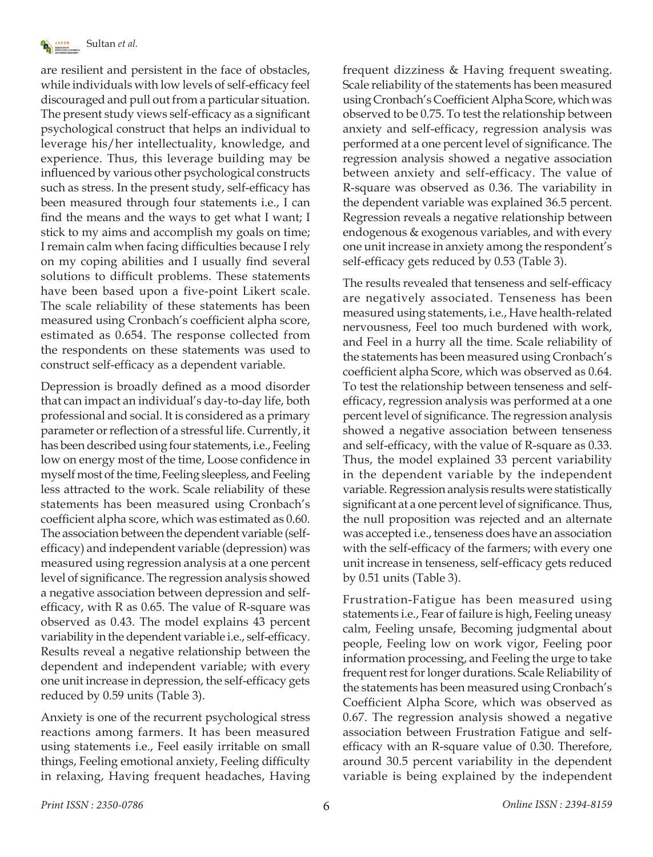

are resilient and persistent in the face of obstacles, while individuals with low levels of self-efficacy feel discouraged and pull out from a particular situation. The present study views self-efficacy as a significant psychological construct that helps an individual to leverage his/her intellectuality, knowledge, and experience. Thus, this leverage building may be influenced by various other psychological constructs such as stress. In the present study, self-efficacy has been measured through four statements i.e., I can find the means and the ways to get what I want; I stick to my aims and accomplish my goals on time; I remain calm when facing difficulties because I rely on my coping abilities and I usually find several solutions to difficult problems. These statements have been based upon a five-point Likert scale. The scale reliability of these statements has been measured using Cronbach's coefficient alpha score, estimated as 0.654. The response collected from the respondents on these statements was used to construct self-efficacy as a dependent variable.

Depression is broadly defined as a mood disorder that can impact an individual's day-to-day life, both professional and social. It is considered as a primary parameter or reflection of a stressful life. Currently, it has been described using four statements, i.e., Feeling low on energy most of the time, Loose confidence in myself most of the time, Feeling sleepless, and Feeling less attracted to the work. Scale reliability of these statements has been measured using Cronbach's coefficient alpha score, which was estimated as 0.60. The association between the dependent variable (selfefficacy) and independent variable (depression) was measured using regression analysis at a one percent level of significance. The regression analysis showed a negative association between depression and selfefficacy, with R as 0.65. The value of R-square was observed as 0.43. The model explains 43 percent variability in the dependent variable i.e., self-efficacy. Results reveal a negative relationship between the dependent and independent variable; with every one unit increase in depression, the self-efficacy gets reduced by 0.59 units (Table 3).

Anxiety is one of the recurrent psychological stress reactions among farmers. It has been measured using statements i.e., Feel easily irritable on small things, Feeling emotional anxiety, Feeling difficulty in relaxing, Having frequent headaches, Having frequent dizziness & Having frequent sweating. Scale reliability of the statements has been measured using Cronbach's Coefficient Alpha Score, which was observed to be 0.75. To test the relationship between anxiety and self-efficacy, regression analysis was performed at a one percent level of significance. The regression analysis showed a negative association between anxiety and self-efficacy. The value of R-square was observed as 0.36. The variability in the dependent variable was explained 36.5 percent. Regression reveals a negative relationship between endogenous & exogenous variables, and with every one unit increase in anxiety among the respondent's self-efficacy gets reduced by 0.53 (Table 3).

The results revealed that tenseness and self-efficacy are negatively associated. Tenseness has been measured using statements, i.e., Have health-related nervousness, Feel too much burdened with work, and Feel in a hurry all the time. Scale reliability of the statements has been measured using Cronbach's coefficient alpha Score, which was observed as 0.64. To test the relationship between tenseness and selfefficacy, regression analysis was performed at a one percent level of significance. The regression analysis showed a negative association between tenseness and self-efficacy, with the value of R-square as 0.33. Thus, the model explained 33 percent variability in the dependent variable by the independent variable. Regression analysis results were statistically significant at a one percent level of significance. Thus, the null proposition was rejected and an alternate was accepted i.e., tenseness does have an association with the self-efficacy of the farmers; with every one unit increase in tenseness, self-efficacy gets reduced by 0.51 units (Table 3).

Frustration-Fatigue has been measured using statements i.e., Fear of failure is high, Feeling uneasy calm, Feeling unsafe, Becoming judgmental about people, Feeling low on work vigor, Feeling poor information processing, and Feeling the urge to take frequent rest for longer durations. Scale Reliability of the statements has been measured using Cronbach's Coefficient Alpha Score, which was observed as 0.67. The regression analysis showed a negative association between Frustration Fatigue and selfefficacy with an R-square value of 0.30. Therefore, around 30.5 percent variability in the dependent variable is being explained by the independent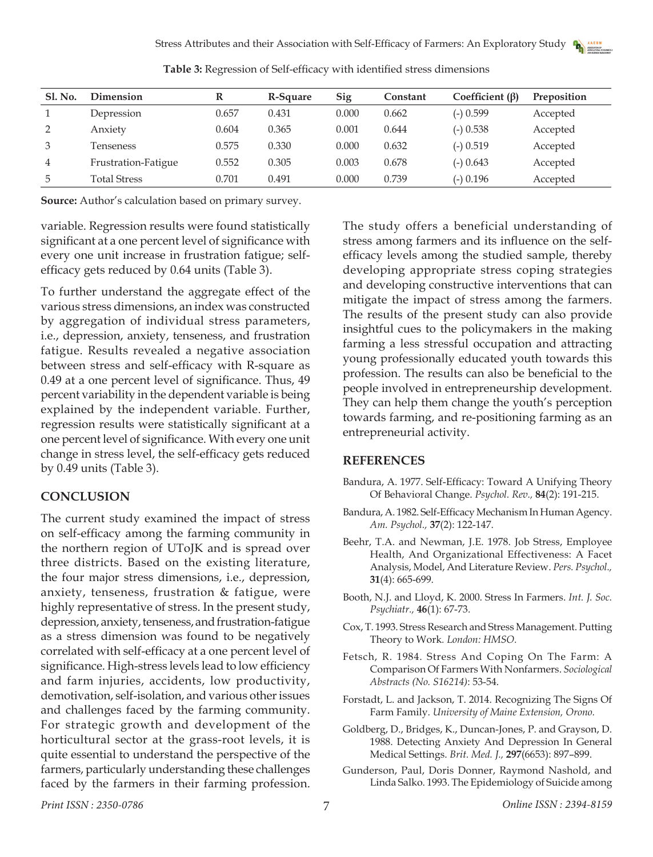| <b>Sl. No.</b> | Dimension           |       | R-Square | Sig   | Constant | Coefficient $(\beta)$ | Preposition |
|----------------|---------------------|-------|----------|-------|----------|-----------------------|-------------|
|                | Depression          | 0.657 | 0.431    | 0.000 | 0.662    | $(-)$ 0.599           | Accepted    |
|                | Anxiety             | 0.604 | 0.365    | 0.001 | 0.644    | $(-)$ 0.538           | Accepted    |
| 3              | Tenseness           | 0.575 | 0.330    | 0.000 | 0.632    | $(-) 0.519$           | Accepted    |
| 4              | Frustration-Fatigue | 0.552 | 0.305    | 0.003 | 0.678    | $(-)$ 0.643           | Accepted    |
| 5              | <b>Total Stress</b> | 0.701 | 0.491    | 0.000 | 0.739    | $(-)$ 0.196           | Accepted    |

**Table 3:** Regression of Self-efficacy with identified stress dimensions

**Source:** Author's calculation based on primary survey.

variable. Regression results were found statistically significant at a one percent level of significance with every one unit increase in frustration fatigue; selfefficacy gets reduced by 0.64 units (Table 3).

To further understand the aggregate effect of the various stress dimensions, an index was constructed by aggregation of individual stress parameters, i.e., depression, anxiety, tenseness, and frustration fatigue. Results revealed a negative association between stress and self-efficacy with R-square as 0.49 at a one percent level of significance. Thus, 49 percent variability in the dependent variable is being explained by the independent variable. Further, regression results were statistically significant at a one percent level of significance. With every one unit change in stress level, the self-efficacy gets reduced by 0.49 units (Table 3).

### **CONCLUSION**

The current study examined the impact of stress on self-efficacy among the farming community in the northern region of UToJK and is spread over three districts. Based on the existing literature, the four major stress dimensions, i.e., depression, anxiety, tenseness, frustration & fatigue, were highly representative of stress. In the present study, depression, anxiety, tenseness, and frustration-fatigue as a stress dimension was found to be negatively correlated with self-efficacy at a one percent level of significance. High-stress levels lead to low efficiency and farm injuries, accidents, low productivity, demotivation, self-isolation, and various other issues and challenges faced by the farming community. For strategic growth and development of the horticultural sector at the grass-root levels, it is quite essential to understand the perspective of the farmers, particularly understanding these challenges faced by the farmers in their farming profession.

The study offers a beneficial understanding of stress among farmers and its influence on the selfefficacy levels among the studied sample, thereby developing appropriate stress coping strategies and developing constructive interventions that can mitigate the impact of stress among the farmers. The results of the present study can also provide insightful cues to the policymakers in the making farming a less stressful occupation and attracting young professionally educated youth towards this profession. The results can also be beneficial to the people involved in entrepreneurship development. They can help them change the youth's perception towards farming, and re-positioning farming as an entrepreneurial activity.

### **REFERENCES**

- Bandura, A. 1977. Self-Efficacy: Toward A Unifying Theory Of Behavioral Change. *Psychol. Rev.,* **84**(2): 191-215.
- Bandura, A. 1982. Self-Efficacy Mechanism In Human Agency. *Am. Psychol.,* **37**(2): 122-147.
- Beehr, T.A. and Newman, J.E. 1978. Job Stress, Employee Health, And Organizational Effectiveness: A Facet Analysis, Model, And Literature Review. *Pers. Psychol.,*  **31**(4): 665-699.
- Booth, N.J. and Lloyd, K. 2000. Stress In Farmers. *Int. J. Soc. Psychiatr.,* **46**(1): 67-73.
- Cox, T. 1993. Stress Research and Stress Management. Putting Theory to Work*. London: HMSO.*
- Fetsch, R. 1984. Stress And Coping On The Farm: A Comparison Of Farmers With Nonfarmers. *Sociological Abstracts (No. S16214)*: 53-54.
- Forstadt, L. and Jackson, T. 2014. Recognizing The Signs Of Farm Family. *University of Maine Extension, Orono.*
- Goldberg, D., Bridges, K., Duncan-Jones, P. and Grayson, D. 1988. Detecting Anxiety And Depression In General Medical Settings. *Brit. Med. J.,* **297**(6653): 897–899.
- Gunderson, Paul, Doris Donner, Raymond Nashold, and Linda Salko. 1993. The Epidemiology of Suicide among